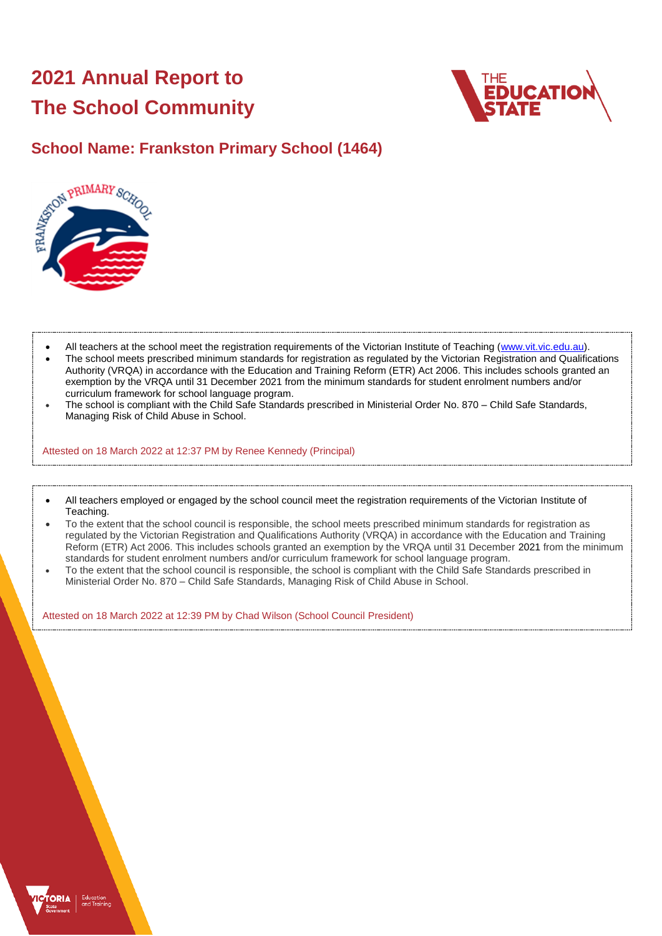# **2021 Annual Report to The School Community**





- All teachers at the school meet the registration requirements of the Victorian Institute of Teaching [\(www.vit.vic.edu.au\)](https://www.vit.vic.edu.au/).
- The school meets prescribed minimum standards for registration as regulated by the Victorian Registration and Qualifications Authority (VRQA) in accordance with the Education and Training Reform (ETR) Act 2006. This includes schools granted an exemption by the VRQA until 31 December 2021 from the minimum standards for student enrolment numbers and/or curriculum framework for school language program.
- The school is compliant with the Child Safe Standards prescribed in Ministerial Order No. 870 Child Safe Standards, Managing Risk of Child Abuse in School.

Attested on 18 March 2022 at 12:37 PM by Renee Kennedy (Principal)

- All teachers employed or engaged by the school council meet the registration requirements of the Victorian Institute of Teaching.
- To the extent that the school council is responsible, the school meets prescribed minimum standards for registration as regulated by the Victorian Registration and Qualifications Authority (VRQA) in accordance with the Education and Training Reform (ETR) Act 2006. This includes schools granted an exemption by the VRQA until 31 December 2021 from the minimum standards for student enrolment numbers and/or curriculum framework for school language program.
- To the extent that the school council is responsible, the school is compliant with the Child Safe Standards prescribed in Ministerial Order No. 870 – Child Safe Standards, Managing Risk of Child Abuse in School.

Attested on 18 March 2022 at 12:39 PM by Chad Wilson (School Council President)

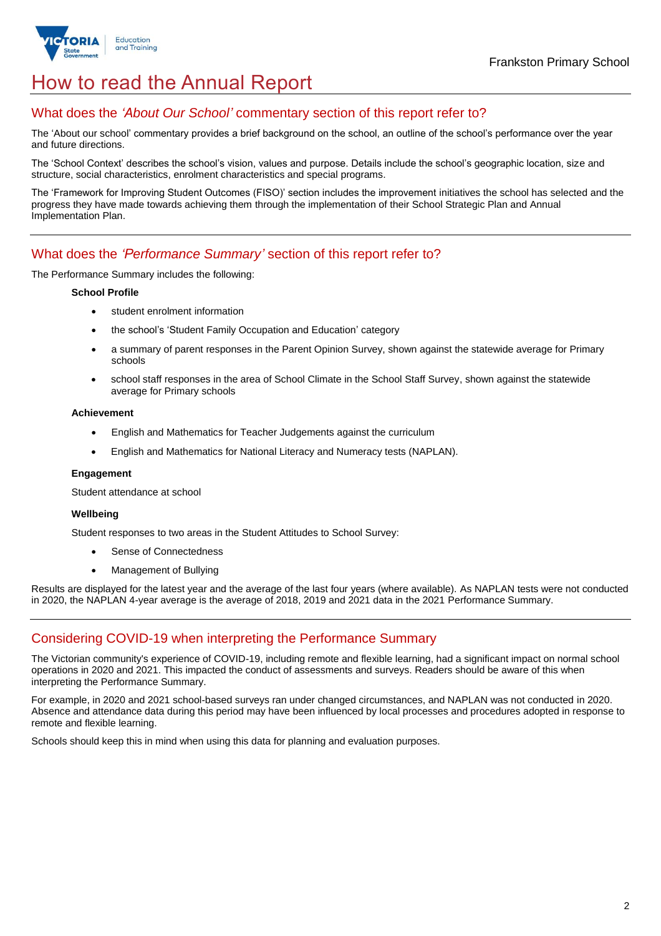

# How to read the Annual Report

# What does the *'About Our School'* commentary section of this report refer to?

The 'About our school' commentary provides a brief background on the school, an outline of the school's performance over the year and future directions.

The 'School Context' describes the school's vision, values and purpose. Details include the school's geographic location, size and structure, social characteristics, enrolment characteristics and special programs.

The 'Framework for Improving Student Outcomes (FISO)' section includes the improvement initiatives the school has selected and the progress they have made towards achieving them through the implementation of their School Strategic Plan and Annual Implementation Plan.

### What does the *'Performance Summary'* section of this report refer to?

The Performance Summary includes the following:

#### **School Profile**

- student enrolment information
- the school's 'Student Family Occupation and Education' category
- a summary of parent responses in the Parent Opinion Survey, shown against the statewide average for Primary schools
- school staff responses in the area of School Climate in the School Staff Survey, shown against the statewide average for Primary schools

#### **Achievement**

- English and Mathematics for Teacher Judgements against the curriculum
- English and Mathematics for National Literacy and Numeracy tests (NAPLAN).

#### **Engagement**

Student attendance at school

#### **Wellbeing**

Student responses to two areas in the Student Attitudes to School Survey:

- Sense of Connectedness
- Management of Bullying

Results are displayed for the latest year and the average of the last four years (where available). As NAPLAN tests were not conducted in 2020, the NAPLAN 4-year average is the average of 2018, 2019 and 2021 data in the 2021 Performance Summary.

### Considering COVID-19 when interpreting the Performance Summary

The Victorian community's experience of COVID-19, including remote and flexible learning, had a significant impact on normal school operations in 2020 and 2021. This impacted the conduct of assessments and surveys. Readers should be aware of this when interpreting the Performance Summary.

For example, in 2020 and 2021 school-based surveys ran under changed circumstances, and NAPLAN was not conducted in 2020. Absence and attendance data during this period may have been influenced by local processes and procedures adopted in response to remote and flexible learning.

Schools should keep this in mind when using this data for planning and evaluation purposes.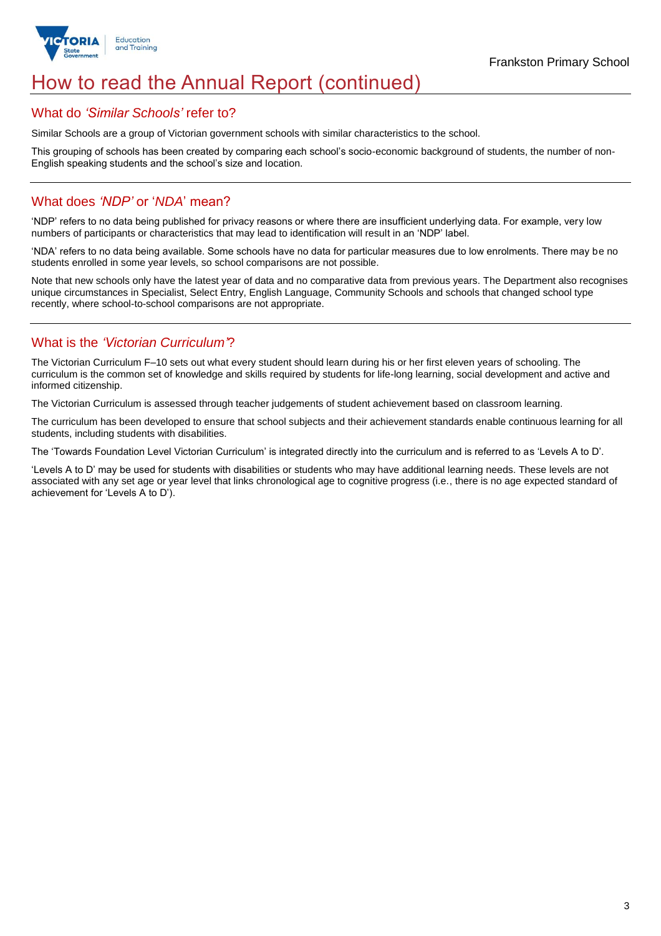

# How to read the Annual Report (continued)

### What do *'Similar Schools'* refer to?

Similar Schools are a group of Victorian government schools with similar characteristics to the school.

This grouping of schools has been created by comparing each school's socio-economic background of students, the number of non-English speaking students and the school's size and location.

# What does *'NDP'* or '*NDA*' mean?

'NDP' refers to no data being published for privacy reasons or where there are insufficient underlying data. For example, very low numbers of participants or characteristics that may lead to identification will result in an 'NDP' label.

'NDA' refers to no data being available. Some schools have no data for particular measures due to low enrolments. There may be no students enrolled in some year levels, so school comparisons are not possible.

Note that new schools only have the latest year of data and no comparative data from previous years. The Department also recognises unique circumstances in Specialist, Select Entry, English Language, Community Schools and schools that changed school type recently, where school-to-school comparisons are not appropriate.

# What is the *'Victorian Curriculum'*?

The Victorian Curriculum F–10 sets out what every student should learn during his or her first eleven years of schooling. The curriculum is the common set of knowledge and skills required by students for life-long learning, social development and active and informed citizenship.

The Victorian Curriculum is assessed through teacher judgements of student achievement based on classroom learning.

The curriculum has been developed to ensure that school subjects and their achievement standards enable continuous learning for all students, including students with disabilities.

The 'Towards Foundation Level Victorian Curriculum' is integrated directly into the curriculum and is referred to as 'Levels A to D'.

'Levels A to D' may be used for students with disabilities or students who may have additional learning needs. These levels are not associated with any set age or year level that links chronological age to cognitive progress (i.e., there is no age expected standard of achievement for 'Levels A to D').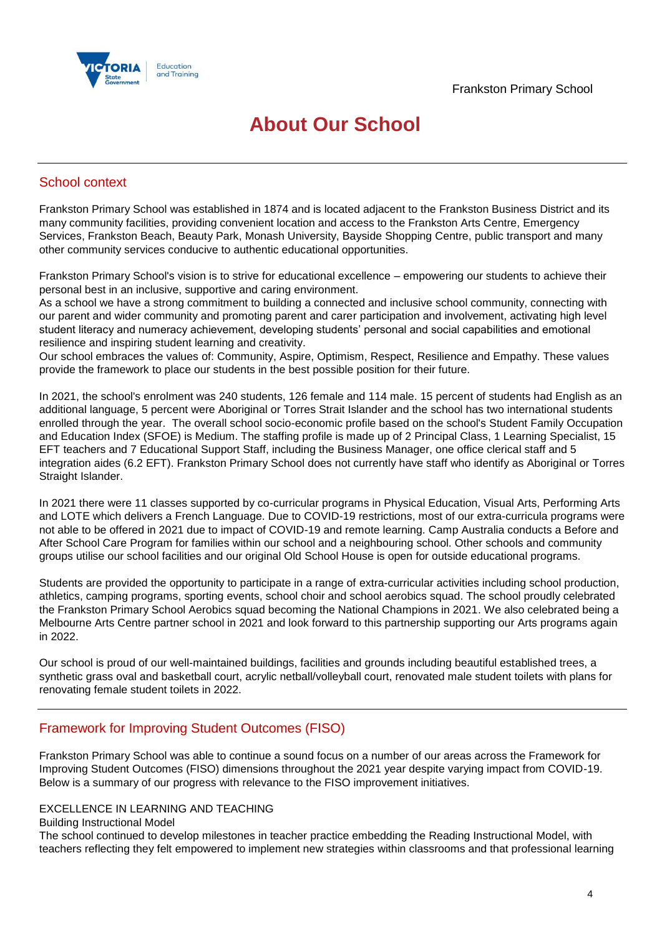

# **About Our School**

# School context

Frankston Primary School was established in 1874 and is located adjacent to the Frankston Business District and its many community facilities, providing convenient location and access to the Frankston Arts Centre, Emergency Services, Frankston Beach, Beauty Park, Monash University, Bayside Shopping Centre, public transport and many other community services conducive to authentic educational opportunities.

Frankston Primary School's vision is to strive for educational excellence – empowering our students to achieve their personal best in an inclusive, supportive and caring environment.

As a school we have a strong commitment to building a connected and inclusive school community, connecting with our parent and wider community and promoting parent and carer participation and involvement, activating high level student literacy and numeracy achievement, developing students' personal and social capabilities and emotional resilience and inspiring student learning and creativity.

Our school embraces the values of: Community, Aspire, Optimism, Respect, Resilience and Empathy. These values provide the framework to place our students in the best possible position for their future.

In 2021, the school's enrolment was 240 students, 126 female and 114 male. 15 percent of students had English as an additional language, 5 percent were Aboriginal or Torres Strait Islander and the school has two international students enrolled through the year. The overall school socio-economic profile based on the school's Student Family Occupation and Education Index (SFOE) is Medium. The staffing profile is made up of 2 Principal Class, 1 Learning Specialist, 15 EFT teachers and 7 Educational Support Staff, including the Business Manager, one office clerical staff and 5 integration aides (6.2 EFT). Frankston Primary School does not currently have staff who identify as Aboriginal or Torres Straight Islander.

In 2021 there were 11 classes supported by co-curricular programs in Physical Education, Visual Arts, Performing Arts and LOTE which delivers a French Language. Due to COVID-19 restrictions, most of our extra-curricula programs were not able to be offered in 2021 due to impact of COVID-19 and remote learning. Camp Australia conducts a Before and After School Care Program for families within our school and a neighbouring school. Other schools and community groups utilise our school facilities and our original Old School House is open for outside educational programs.

Students are provided the opportunity to participate in a range of extra-curricular activities including school production, athletics, camping programs, sporting events, school choir and school aerobics squad. The school proudly celebrated the Frankston Primary School Aerobics squad becoming the National Champions in 2021. We also celebrated being a Melbourne Arts Centre partner school in 2021 and look forward to this partnership supporting our Arts programs again in 2022.

Our school is proud of our well-maintained buildings, facilities and grounds including beautiful established trees, a synthetic grass oval and basketball court, acrylic netball/volleyball court, renovated male student toilets with plans for renovating female student toilets in 2022.

### Framework for Improving Student Outcomes (FISO)

Frankston Primary School was able to continue a sound focus on a number of our areas across the Framework for Improving Student Outcomes (FISO) dimensions throughout the 2021 year despite varying impact from COVID-19. Below is a summary of our progress with relevance to the FISO improvement initiatives.

### EXCELLENCE IN LEARNING AND TEACHING

Building Instructional Model

The school continued to develop milestones in teacher practice embedding the Reading Instructional Model, with teachers reflecting they felt empowered to implement new strategies within classrooms and that professional learning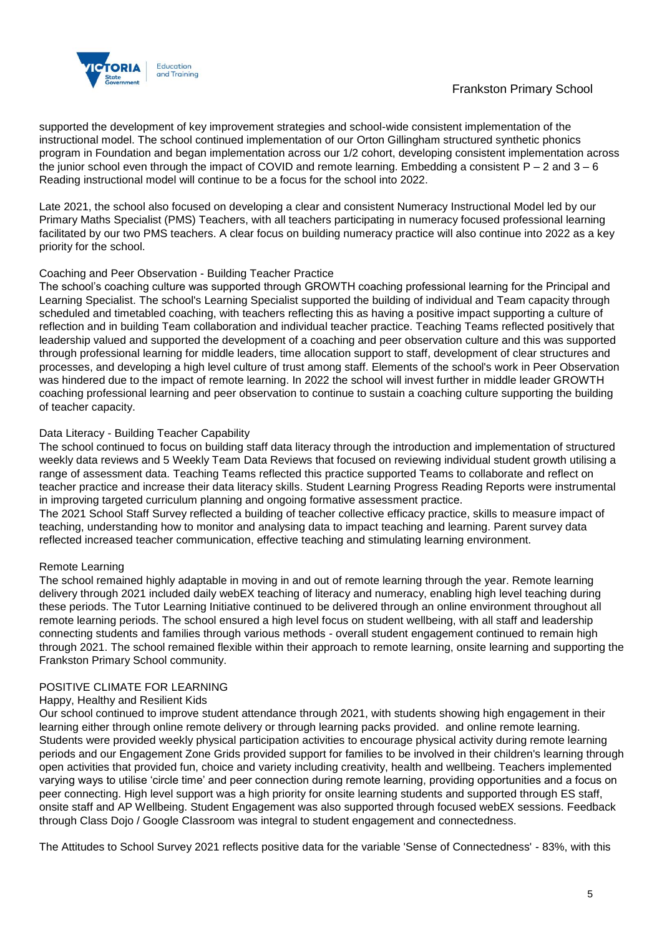

supported the development of key improvement strategies and school-wide consistent implementation of the instructional model. The school continued implementation of our Orton Gillingham structured synthetic phonics program in Foundation and began implementation across our 1/2 cohort, developing consistent implementation across the junior school even through the impact of COVID and remote learning. Embedding a consistent P – 2 and 3 – 6 Reading instructional model will continue to be a focus for the school into 2022.

Late 2021, the school also focused on developing a clear and consistent Numeracy Instructional Model led by our Primary Maths Specialist (PMS) Teachers, with all teachers participating in numeracy focused professional learning facilitated by our two PMS teachers. A clear focus on building numeracy practice will also continue into 2022 as a key priority for the school.

#### Coaching and Peer Observation - Building Teacher Practice

The school's coaching culture was supported through GROWTH coaching professional learning for the Principal and Learning Specialist. The school's Learning Specialist supported the building of individual and Team capacity through scheduled and timetabled coaching, with teachers reflecting this as having a positive impact supporting a culture of reflection and in building Team collaboration and individual teacher practice. Teaching Teams reflected positively that leadership valued and supported the development of a coaching and peer observation culture and this was supported through professional learning for middle leaders, time allocation support to staff, development of clear structures and processes, and developing a high level culture of trust among staff. Elements of the school's work in Peer Observation was hindered due to the impact of remote learning. In 2022 the school will invest further in middle leader GROWTH coaching professional learning and peer observation to continue to sustain a coaching culture supporting the building of teacher capacity.

#### Data Literacy - Building Teacher Capability

The school continued to focus on building staff data literacy through the introduction and implementation of structured weekly data reviews and 5 Weekly Team Data Reviews that focused on reviewing individual student growth utilising a range of assessment data. Teaching Teams reflected this practice supported Teams to collaborate and reflect on teacher practice and increase their data literacy skills. Student Learning Progress Reading Reports were instrumental in improving targeted curriculum planning and ongoing formative assessment practice.

The 2021 School Staff Survey reflected a building of teacher collective efficacy practice, skills to measure impact of teaching, understanding how to monitor and analysing data to impact teaching and learning. Parent survey data reflected increased teacher communication, effective teaching and stimulating learning environment.

#### Remote Learning

The school remained highly adaptable in moving in and out of remote learning through the year. Remote learning delivery through 2021 included daily webEX teaching of literacy and numeracy, enabling high level teaching during these periods. The Tutor Learning Initiative continued to be delivered through an online environment throughout all remote learning periods. The school ensured a high level focus on student wellbeing, with all staff and leadership connecting students and families through various methods - overall student engagement continued to remain high through 2021. The school remained flexible within their approach to remote learning, onsite learning and supporting the Frankston Primary School community.

#### POSITIVE CLIMATE FOR LEARNING

#### Happy, Healthy and Resilient Kids

Our school continued to improve student attendance through 2021, with students showing high engagement in their learning either through online remote delivery or through learning packs provided. and online remote learning. Students were provided weekly physical participation activities to encourage physical activity during remote learning periods and our Engagement Zone Grids provided support for families to be involved in their children's learning through open activities that provided fun, choice and variety including creativity, health and wellbeing. Teachers implemented varying ways to utilise 'circle time' and peer connection during remote learning, providing opportunities and a focus on peer connecting. High level support was a high priority for onsite learning students and supported through ES staff, onsite staff and AP Wellbeing. Student Engagement was also supported through focused webEX sessions. Feedback through Class Dojo / Google Classroom was integral to student engagement and connectedness.

The Attitudes to School Survey 2021 reflects positive data for the variable 'Sense of Connectedness' - 83%, with this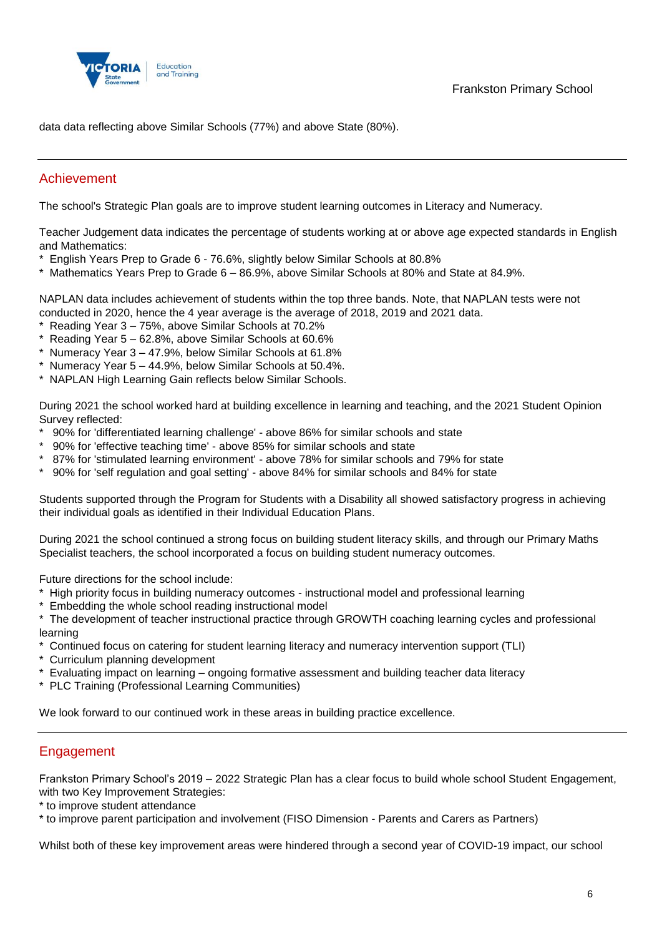

data data reflecting above Similar Schools (77%) and above State (80%).

# Achievement

The school's Strategic Plan goals are to improve student learning outcomes in Literacy and Numeracy.

Teacher Judgement data indicates the percentage of students working at or above age expected standards in English and Mathematics:

- \* English Years Prep to Grade 6 76.6%, slightly below Similar Schools at 80.8%
- \* Mathematics Years Prep to Grade 6 86.9%, above Similar Schools at 80% and State at 84.9%.

NAPLAN data includes achievement of students within the top three bands. Note, that NAPLAN tests were not conducted in 2020, hence the 4 year average is the average of 2018, 2019 and 2021 data.

- \* Reading Year 3 75%, above Similar Schools at 70.2%
- \* Reading Year 5 62.8%, above Similar Schools at 60.6%
- \* Numeracy Year 3 47.9%, below Similar Schools at 61.8%
- \* Numeracy Year 5 44.9%, below Similar Schools at 50.4%.
- \* NAPLAN High Learning Gain reflects below Similar Schools.

During 2021 the school worked hard at building excellence in learning and teaching, and the 2021 Student Opinion Survey reflected:

- \* 90% for 'differentiated learning challenge' above 86% for similar schools and state
- \* 90% for 'effective teaching time' above 85% for similar schools and state
- \* 87% for 'stimulated learning environment' above 78% for similar schools and 79% for state
- \* 90% for 'self regulation and goal setting' above 84% for similar schools and 84% for state

Students supported through the Program for Students with a Disability all showed satisfactory progress in achieving their individual goals as identified in their Individual Education Plans.

During 2021 the school continued a strong focus on building student literacy skills, and through our Primary Maths Specialist teachers, the school incorporated a focus on building student numeracy outcomes.

Future directions for the school include:

- \* High priority focus in building numeracy outcomes instructional model and professional learning
- \* Embedding the whole school reading instructional model

\* The development of teacher instructional practice through GROWTH coaching learning cycles and professional learning

- \* Continued focus on catering for student learning literacy and numeracy intervention support (TLI)
- \* Curriculum planning development
- \* Evaluating impact on learning ongoing formative assessment and building teacher data literacy
- \* PLC Training (Professional Learning Communities)

We look forward to our continued work in these areas in building practice excellence.

### **Engagement**

Frankston Primary School's 2019 – 2022 Strategic Plan has a clear focus to build whole school Student Engagement, with two Key Improvement Strategies:

\* to improve student attendance

\* to improve parent participation and involvement (FISO Dimension - Parents and Carers as Partners)

Whilst both of these key improvement areas were hindered through a second year of COVID-19 impact, our school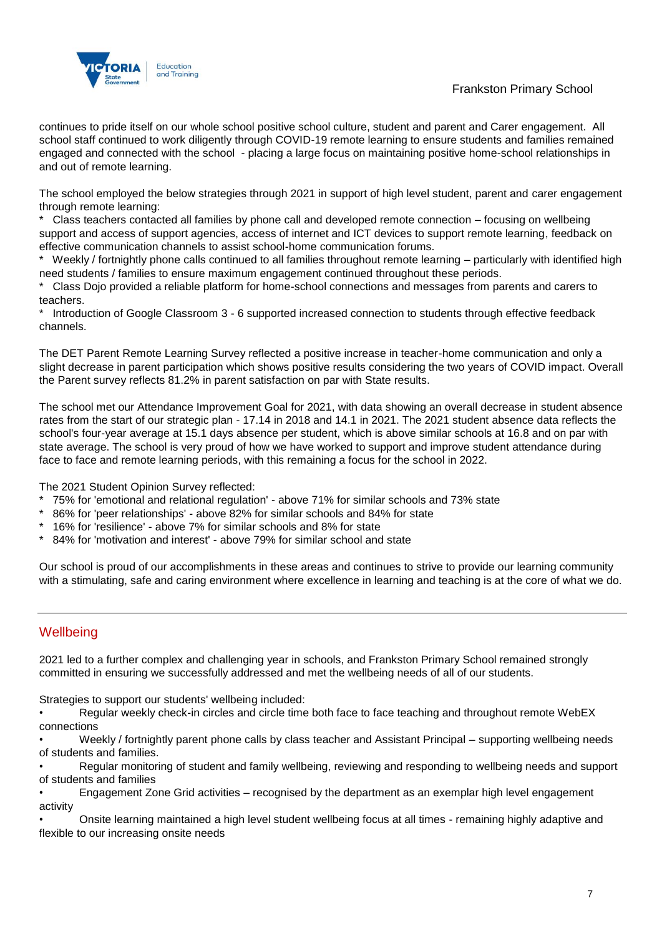

# Frankston Primary School

continues to pride itself on our whole school positive school culture, student and parent and Carer engagement. All school staff continued to work diligently through COVID-19 remote learning to ensure students and families remained engaged and connected with the school - placing a large focus on maintaining positive home-school relationships in and out of remote learning.

The school employed the below strategies through 2021 in support of high level student, parent and carer engagement through remote learning:

Class teachers contacted all families by phone call and developed remote connection – focusing on wellbeing support and access of support agencies, access of internet and ICT devices to support remote learning, feedback on effective communication channels to assist school-home communication forums.

Weekly / fortnightly phone calls continued to all families throughout remote learning – particularly with identified high need students / families to ensure maximum engagement continued throughout these periods.

\* Class Dojo provided a reliable platform for home-school connections and messages from parents and carers to teachers.

Introduction of Google Classroom 3 - 6 supported increased connection to students through effective feedback channels.

The DET Parent Remote Learning Survey reflected a positive increase in teacher-home communication and only a slight decrease in parent participation which shows positive results considering the two years of COVID impact. Overall the Parent survey reflects 81.2% in parent satisfaction on par with State results.

The school met our Attendance Improvement Goal for 2021, with data showing an overall decrease in student absence rates from the start of our strategic plan - 17.14 in 2018 and 14.1 in 2021. The 2021 student absence data reflects the school's four-year average at 15.1 days absence per student, which is above similar schools at 16.8 and on par with state average. The school is very proud of how we have worked to support and improve student attendance during face to face and remote learning periods, with this remaining a focus for the school in 2022.

The 2021 Student Opinion Survey reflected:

- 75% for 'emotional and relational regulation' above 71% for similar schools and 73% state
- 86% for 'peer relationships' above 82% for similar schools and 84% for state
- 16% for 'resilience' above 7% for similar schools and 8% for state
- 84% for 'motivation and interest' above 79% for similar school and state

Our school is proud of our accomplishments in these areas and continues to strive to provide our learning community with a stimulating, safe and caring environment where excellence in learning and teaching is at the core of what we do.

# **Wellbeing**

2021 led to a further complex and challenging year in schools, and Frankston Primary School remained strongly committed in ensuring we successfully addressed and met the wellbeing needs of all of our students.

Strategies to support our students' wellbeing included:

• Regular weekly check-in circles and circle time both face to face teaching and throughout remote WebEX connections

• Weekly / fortnightly parent phone calls by class teacher and Assistant Principal – supporting wellbeing needs of students and families.

• Regular monitoring of student and family wellbeing, reviewing and responding to wellbeing needs and support of students and families

• Engagement Zone Grid activities – recognised by the department as an exemplar high level engagement activity

• Onsite learning maintained a high level student wellbeing focus at all times - remaining highly adaptive and flexible to our increasing onsite needs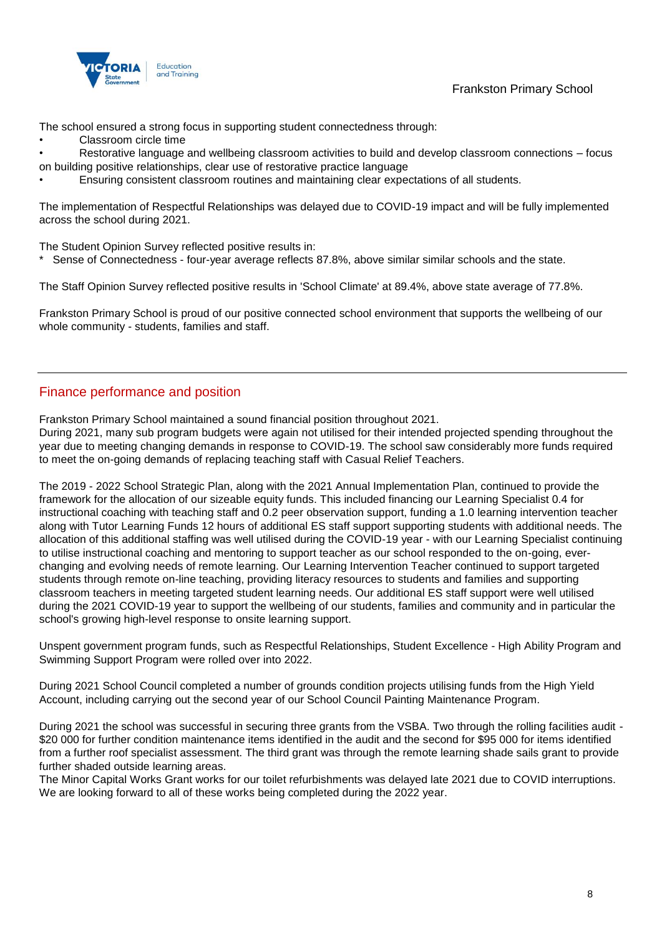

Frankston Primary School

The school ensured a strong focus in supporting student connectedness through:

• Classroom circle time

• Restorative language and wellbeing classroom activities to build and develop classroom connections – focus on building positive relationships, clear use of restorative practice language

• Ensuring consistent classroom routines and maintaining clear expectations of all students.

The implementation of Respectful Relationships was delayed due to COVID-19 impact and will be fully implemented across the school during 2021.

The Student Opinion Survey reflected positive results in:

Sense of Connectedness - four-year average reflects 87.8%, above similar similar schools and the state.

The Staff Opinion Survey reflected positive results in 'School Climate' at 89.4%, above state average of 77.8%.

Frankston Primary School is proud of our positive connected school environment that supports the wellbeing of our whole community - students, families and staff.

# Finance performance and position

Frankston Primary School maintained a sound financial position throughout 2021.

During 2021, many sub program budgets were again not utilised for their intended projected spending throughout the year due to meeting changing demands in response to COVID-19. The school saw considerably more funds required to meet the on-going demands of replacing teaching staff with Casual Relief Teachers.

The 2019 - 2022 School Strategic Plan, along with the 2021 Annual Implementation Plan, continued to provide the framework for the allocation of our sizeable equity funds. This included financing our Learning Specialist 0.4 for instructional coaching with teaching staff and 0.2 peer observation support, funding a 1.0 learning intervention teacher along with Tutor Learning Funds 12 hours of additional ES staff support supporting students with additional needs. The allocation of this additional staffing was well utilised during the COVID-19 year - with our Learning Specialist continuing to utilise instructional coaching and mentoring to support teacher as our school responded to the on-going, everchanging and evolving needs of remote learning. Our Learning Intervention Teacher continued to support targeted students through remote on-line teaching, providing literacy resources to students and families and supporting classroom teachers in meeting targeted student learning needs. Our additional ES staff support were well utilised during the 2021 COVID-19 year to support the wellbeing of our students, families and community and in particular the school's growing high-level response to onsite learning support.

Unspent government program funds, such as Respectful Relationships, Student Excellence - High Ability Program and Swimming Support Program were rolled over into 2022.

During 2021 School Council completed a number of grounds condition projects utilising funds from the High Yield Account, including carrying out the second year of our School Council Painting Maintenance Program.

During 2021 the school was successful in securing three grants from the VSBA. Two through the rolling facilities audit - \$20 000 for further condition maintenance items identified in the audit and the second for \$95 000 for items identified from a further roof specialist assessment. The third grant was through the remote learning shade sails grant to provide further shaded outside learning areas.

The Minor Capital Works Grant works for our toilet refurbishments was delayed late 2021 due to COVID interruptions. We are looking forward to all of these works being completed during the 2022 year.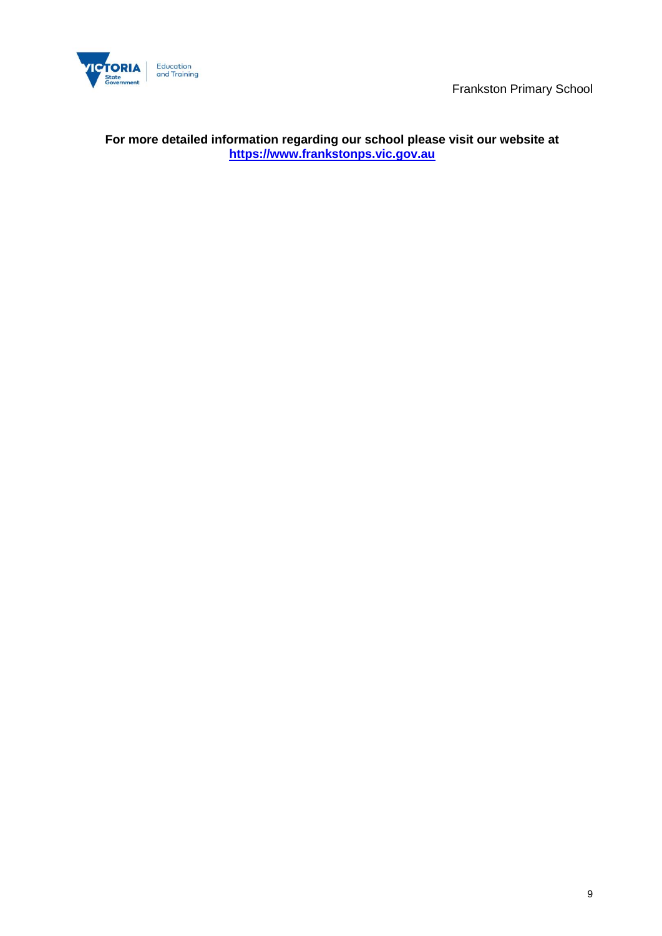

# **For more detailed information regarding our school please visit our website at [https://www.frankstonps.vic.gov.au](https://www.frankstonps.vic.gov.au/)**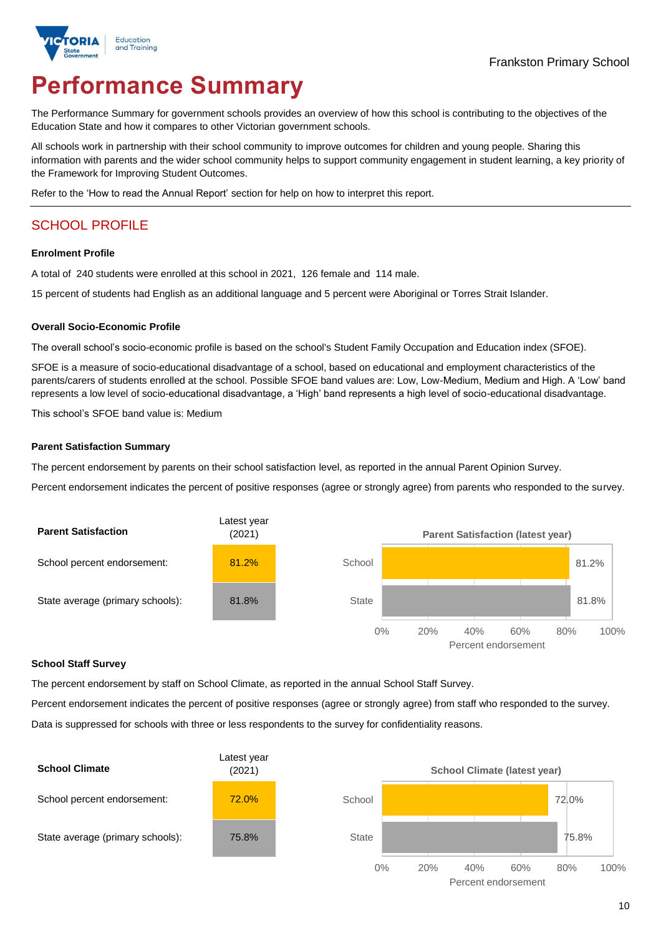

# **Performance Summary**

The Performance Summary for government schools provides an overview of how this school is contributing to the objectives of the Education State and how it compares to other Victorian government schools.

All schools work in partnership with their school community to improve outcomes for children and young people. Sharing this information with parents and the wider school community helps to support community engagement in student learning, a key priority of the Framework for Improving Student Outcomes.

Refer to the 'How to read the Annual Report' section for help on how to interpret this report.

# SCHOOL PROFILE

#### **Enrolment Profile**

A total of 240 students were enrolled at this school in 2021, 126 female and 114 male.

15 percent of students had English as an additional language and 5 percent were Aboriginal or Torres Strait Islander.

#### **Overall Socio-Economic Profile**

The overall school's socio-economic profile is based on the school's Student Family Occupation and Education index (SFOE).

SFOE is a measure of socio-educational disadvantage of a school, based on educational and employment characteristics of the parents/carers of students enrolled at the school. Possible SFOE band values are: Low, Low-Medium, Medium and High. A 'Low' band represents a low level of socio-educational disadvantage, a 'High' band represents a high level of socio-educational disadvantage.

This school's SFOE band value is: Medium

#### **Parent Satisfaction Summary**

The percent endorsement by parents on their school satisfaction level, as reported in the annual Parent Opinion Survey.

Percent endorsement indicates the percent of positive responses (agree or strongly agree) from parents who responded to the survey.



#### **School Staff Survey**

The percent endorsement by staff on School Climate, as reported in the annual School Staff Survey.

Percent endorsement indicates the percent of positive responses (agree or strongly agree) from staff who responded to the survey. Data is suppressed for schools with three or less respondents to the survey for confidentiality reasons.

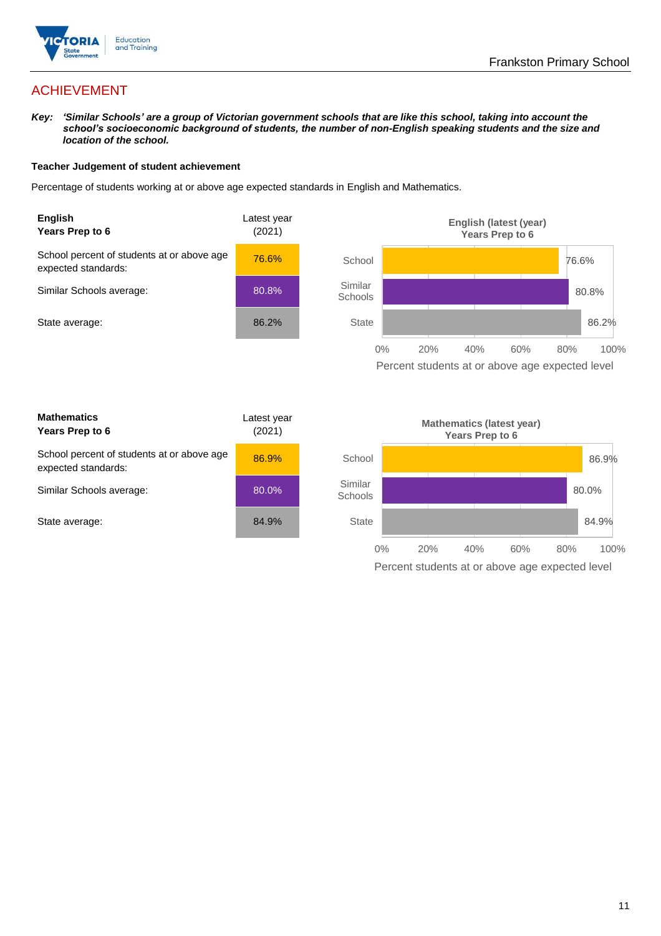

# ACHIEVEMENT

*Key: 'Similar Schools' are a group of Victorian government schools that are like this school, taking into account the school's socioeconomic background of students, the number of non-English speaking students and the size and location of the school.*

#### **Teacher Judgement of student achievement**

Percentage of students working at or above age expected standards in English and Mathematics.



Percent students at or above age expected level

| <b>Mathematics</b><br>Years Prep to 6                             | Latest year<br>(2021) |
|-------------------------------------------------------------------|-----------------------|
| School percent of students at or above age<br>expected standards: | 86.9%                 |
| Similar Schools average:                                          | 80.0%                 |
| State average:                                                    | 84.9%                 |

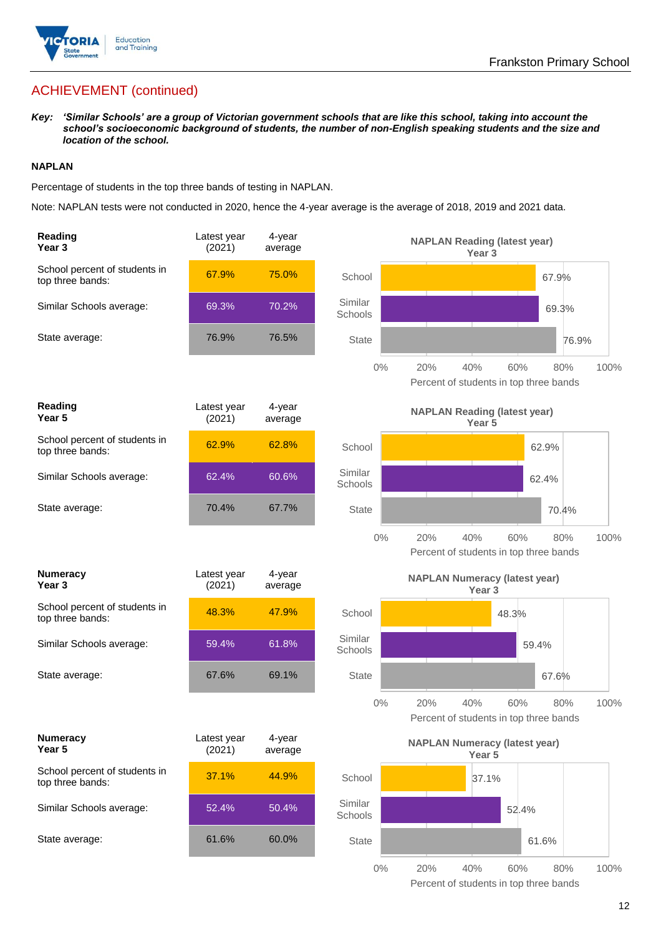

# ACHIEVEMENT (continued)

*Key: 'Similar Schools' are a group of Victorian government schools that are like this school, taking into account the school's socioeconomic background of students, the number of non-English speaking students and the size and location of the school.*

#### **NAPLAN**

Percentage of students in the top three bands of testing in NAPLAN.

Note: NAPLAN tests were not conducted in 2020, hence the 4-year average is the average of 2018, 2019 and 2021 data.

| Reading<br>Year <sub>3</sub>                      | Latest year<br>(2021) | 4-year<br>average | <b>NAPLAN Reading (latest year)</b><br>Year <sub>3</sub>                            |
|---------------------------------------------------|-----------------------|-------------------|-------------------------------------------------------------------------------------|
| School percent of students in<br>top three bands: | 67.9%                 | 75.0%             | School<br>67.9%                                                                     |
| Similar Schools average:                          | 69.3%                 | 70.2%             | Similar<br>69.3%<br>Schools                                                         |
| State average:                                    | 76.9%                 | 76.5%             | <b>State</b><br>76.9%                                                               |
|                                                   |                       |                   | $0\%$<br>60%<br>20%<br>40%<br>80%<br>100%<br>Percent of students in top three bands |
| Reading<br>Year 5                                 | Latest year<br>(2021) | 4-year<br>average | <b>NAPLAN Reading (latest year)</b><br>Year 5                                       |
| School percent of students in<br>top three bands: | 62.9%                 | 62.8%             | School<br>62.9%                                                                     |
| Similar Schools average:                          | 62.4%                 | 60.6%             | Similar<br>62.4%<br>Schools                                                         |
| State average:                                    | 70.4%                 | 67.7%             | <b>State</b><br>70.4%                                                               |
|                                                   |                       |                   | $0\%$<br>20%<br>40%<br>60%<br>80%<br>100%<br>Percent of students in top three bands |
| <b>Numeracy</b><br>Year <sub>3</sub>              | Latest year<br>(2021) | 4-year<br>average | <b>NAPLAN Numeracy (latest year)</b><br>Year <sub>3</sub>                           |
| School percent of students in<br>top three bands: | 48.3%                 | 47.9%             | School<br>48.3%                                                                     |
| Similar Schools average:                          | 59.4%                 | 61.8%             | Similar<br>59.4%<br>Schools                                                         |
| State average:                                    | 67.6%                 | 69.1%             | <b>State</b><br>67.6%                                                               |
|                                                   |                       |                   | 100%<br>$0\%$<br>20%<br>40%<br>60%<br>80%<br>Percent of students in top three bands |
| <b>Numeracy</b><br>Year 5                         | Latest year<br>(2021) | 4-year<br>average | <b>NAPLAN Numeracy (latest year)</b><br>Year 5                                      |
| School percent of students in<br>top three bands: | 37.1%                 | 44.9%             | School<br>37.1%                                                                     |
| Similar Schools average:                          | 52.4%                 | 50.4%             | Similar<br>52.4%<br>Schools                                                         |
| State average:                                    |                       |                   |                                                                                     |
|                                                   | 61.6%                 | 60.0%             | <b>State</b><br>61.6%                                                               |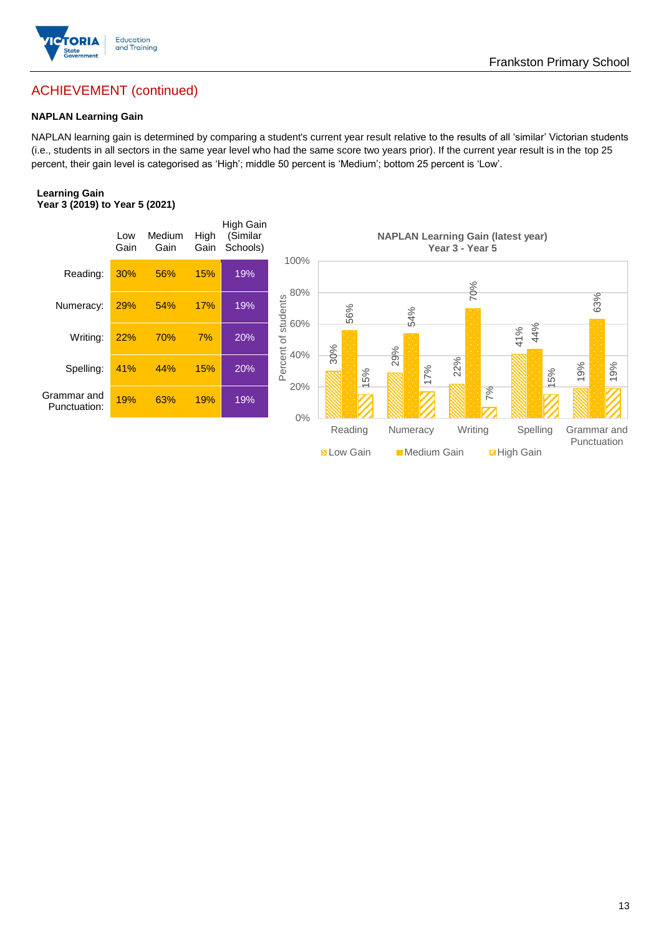

# Frankston Primary School

# ACHIEVEMENT (continued)

#### **NAPLAN Learning Gain**

NAPLAN learning gain is determined by comparing a student's current year result relative to the results of all 'similar' Victorian students (i.e., students in all sectors in the same year level who had the same score two years prior). If the current year result is in the top 25 percent, their gain level is categorised as 'High'; middle 50 percent is 'Medium'; bottom 25 percent is 'Low'.

#### **Learning Gain Year 3 (2019) to Year 5 (2021)**

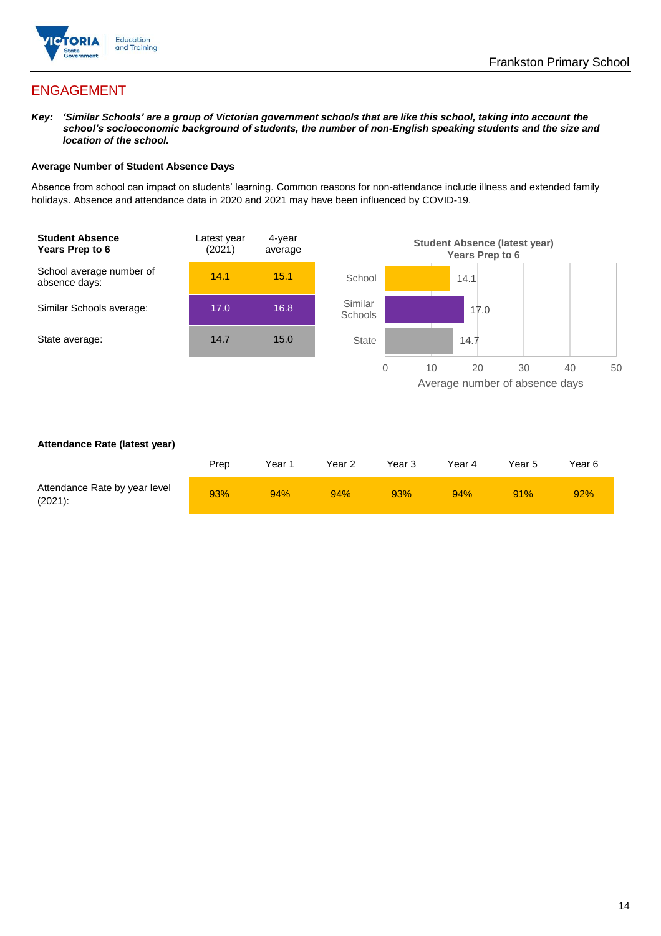

# ENGAGEMENT

*Key: 'Similar Schools' are a group of Victorian government schools that are like this school, taking into account the school's socioeconomic background of students, the number of non-English speaking students and the size and location of the school.*

#### **Average Number of Student Absence Days**

Absence from school can impact on students' learning. Common reasons for non-attendance include illness and extended family holidays. Absence and attendance data in 2020 and 2021 may have been influenced by COVID-19.



#### **Attendance Rate (latest year)**

|                                             | Prep | Year 1 | Year 2 | Year 3 | Year 4 | Year 5 | Year 6 |
|---------------------------------------------|------|--------|--------|--------|--------|--------|--------|
| Attendance Rate by year level<br>$(2021)$ : | 93%  | 94%    | 94%    | 93%    | 94%    | 91%    | 92%    |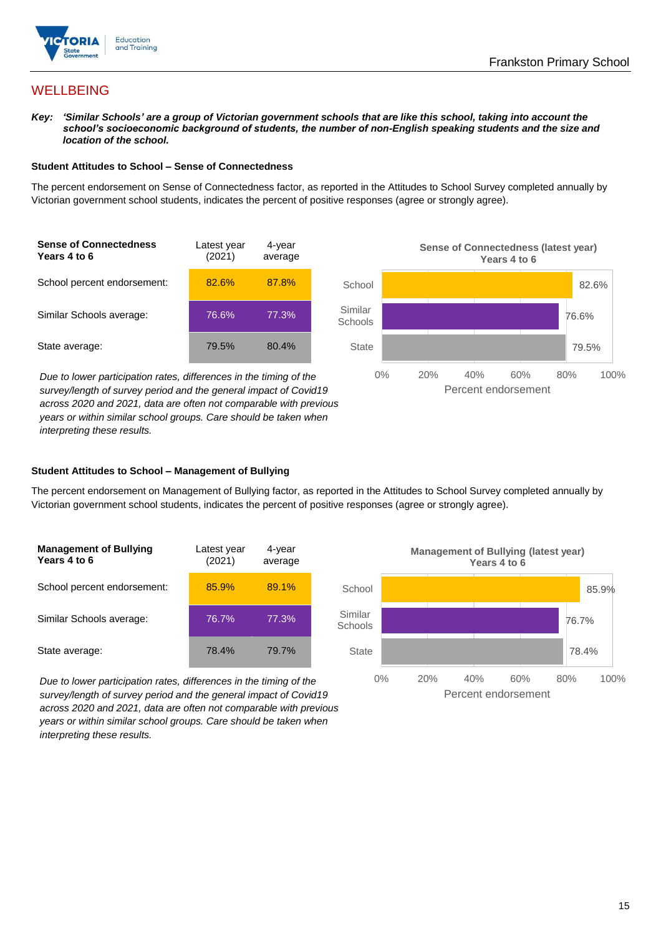

# **WELLBEING**

*Key: 'Similar Schools' are a group of Victorian government schools that are like this school, taking into account the school's socioeconomic background of students, the number of non-English speaking students and the size and location of the school.*

#### **Student Attitudes to School – Sense of Connectedness**

The percent endorsement on Sense of Connectedness factor, as reported in the Attitudes to School Survey completed annually by Victorian government school students, indicates the percent of positive responses (agree or strongly agree).



*Due to lower participation rates, differences in the timing of the survey/length of survey period and the general impact of Covid19 across 2020 and 2021, data are often not comparable with previous years or within similar school groups. Care should be taken when interpreting these results.*



#### **Student Attitudes to School – Management of Bullying**

The percent endorsement on Management of Bullying factor, as reported in the Attitudes to School Survey completed annually by Victorian government school students, indicates the percent of positive responses (agree or strongly agree).

| <b>Management of Bullying</b><br>Years 4 to 6 | Latest year<br>(2021) | 4-year<br>average |  |
|-----------------------------------------------|-----------------------|-------------------|--|
| School percent endorsement:                   | 85.9%                 | 89.1%             |  |
| Similar Schools average:                      | 76.7%                 | 77.3%             |  |
| State average:                                | 78.4%                 | 79.7%             |  |

*Due to lower participation rates, differences in the timing of the survey/length of survey period and the general impact of Covid19 across 2020 and 2021, data are often not comparable with previous years or within similar school groups. Care should be taken when interpreting these results.*

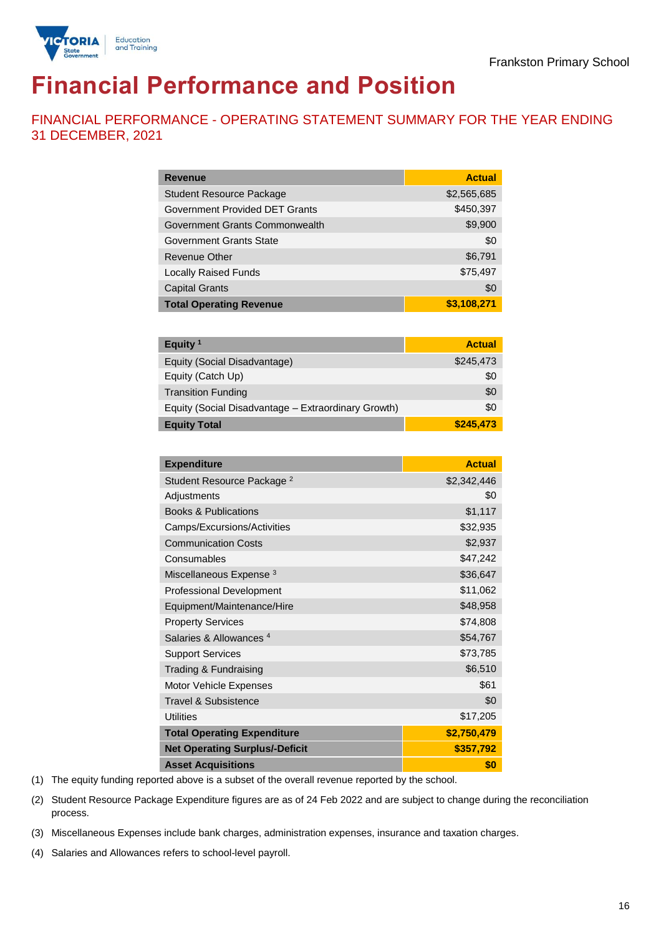

# **Financial Performance and Position**

FINANCIAL PERFORMANCE - OPERATING STATEMENT SUMMARY FOR THE YEAR ENDING 31 DECEMBER, 2021

| <b>Revenue</b>                  | <b>Actual</b> |
|---------------------------------|---------------|
| <b>Student Resource Package</b> | \$2,565,685   |
| Government Provided DET Grants  | \$450,397     |
| Government Grants Commonwealth  | \$9,900       |
| Government Grants State         | \$0           |
| Revenue Other                   | \$6,791       |
| <b>Locally Raised Funds</b>     | \$75,497      |
| <b>Capital Grants</b>           | \$0           |
| <b>Total Operating Revenue</b>  | \$3,108,271   |

| Equity <sup>1</sup>                                 | <b>Actual</b> |
|-----------------------------------------------------|---------------|
| Equity (Social Disadvantage)                        | \$245,473     |
| Equity (Catch Up)                                   | \$0           |
| <b>Transition Funding</b>                           | \$0           |
| Equity (Social Disadvantage - Extraordinary Growth) | \$0           |
| <b>Equity Total</b>                                 | \$245.473     |

| <b>Expenditure</b>                    | <b>Actual</b> |
|---------------------------------------|---------------|
| Student Resource Package <sup>2</sup> | \$2,342,446   |
| Adjustments                           | \$0           |
| <b>Books &amp; Publications</b>       | \$1,117       |
| Camps/Excursions/Activities           | \$32,935      |
| <b>Communication Costs</b>            | \$2,937       |
| Consumables                           | \$47,242      |
| Miscellaneous Expense <sup>3</sup>    | \$36,647      |
| <b>Professional Development</b>       | \$11,062      |
| Equipment/Maintenance/Hire            | \$48,958      |
| <b>Property Services</b>              | \$74,808      |
| Salaries & Allowances <sup>4</sup>    | \$54,767      |
| <b>Support Services</b>               | \$73,785      |
| Trading & Fundraising                 | \$6,510       |
| Motor Vehicle Expenses                | \$61          |
| Travel & Subsistence                  | \$0           |
| <b>Utilities</b>                      | \$17,205      |
| <b>Total Operating Expenditure</b>    | \$2,750,479   |
| <b>Net Operating Surplus/-Deficit</b> | \$357,792     |
| <b>Asset Acquisitions</b>             | \$0           |

(1) The equity funding reported above is a subset of the overall revenue reported by the school.

(2) Student Resource Package Expenditure figures are as of 24 Feb 2022 and are subject to change during the reconciliation process.

(3) Miscellaneous Expenses include bank charges, administration expenses, insurance and taxation charges.

(4) Salaries and Allowances refers to school-level payroll.